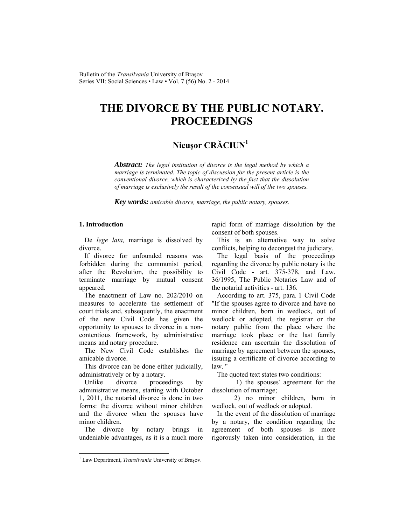## **THE DIVORCE BY THE PUBLIC NOTARY. PROCEEDINGS**

## **Nicuşor CRĂCIUN<sup>1</sup>**

*Abstract: The legal institution of divorce is the legal method by which a marriage is terminated. The topic of discussion for the present article is the conventional divorce, which is characterized by the fact that the dissolution of marriage is exclusively the result of the consensual will of the two spouses.* 

*Key words: amicable divorce, marriage, the public notary, spouses.*

## **1. Introduction**

De *lege lata,* marriage is dissolved by divorce.

If divorce for unfounded reasons was forbidden during the communist period, after the Revolution, the possibility to terminate marriage by mutual consent appeared.

The enactment of Law no. 202/2010 on measures to accelerate the settlement of court trials and, subsequently, the enactment of the new Civil Code has given the opportunity to spouses to divorce in a noncontentious framework, by administrative means and notary procedure.

The New Civil Code establishes the amicable divorce.

This divorce can be done either judicially, administratively or by a notary.

Unlike divorce proceedings by administrative means, starting with October 1, 2011, the notarial divorce is done in two forms: the divorce without minor children and the divorce when the spouses have minor children.

The divorce by notary brings in undeniable advantages, as it is a much more rapid form of marriage dissolution by the consent of both spouses.

This is an alternative way to solve conflicts, helping to decongest the judiciary.

The legal basis of the proceedings regarding the divorce by public notary is the Civil Code - art. 375-378, and Law. 36/1995, The Public Notaries Law and of the notarial activities - art. 136.

According to art. 375, para. 1 Civil Code "If the spouses agree to divorce and have no minor children, born in wedlock, out of wedlock or adopted, the registrar or the notary public from the place where the marriage took place or the last family residence can ascertain the dissolution of marriage by agreement between the spouses, issuing a certificate of divorce according to law. "

The quoted text states two conditions:

 1) the spouses' agreement for the dissolution of marriage;

 2) no minor children, born in wedlock, out of wedlock or adopted.

In the event of the dissolution of marriage by a notary, the condition regarding the agreement of both spouses is more rigorously taken into consideration, in the

l

<sup>&</sup>lt;sup>1</sup> Law Department, *Transilvania* University of Braşov.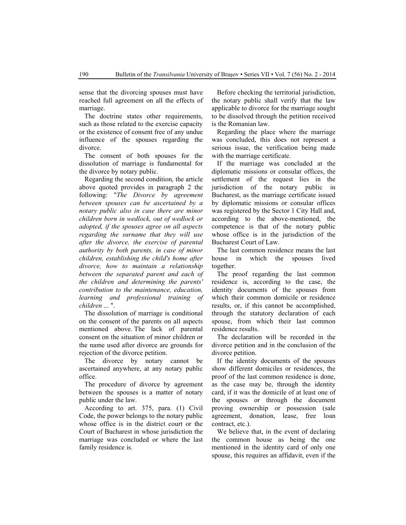sense that the divorcing spouses must have reached full agreement on all the effects of marriage.

The doctrine states other requirements, such as those related to the exercise capacity or the existence of consent free of any undue influence of the spouses regarding the divorce.

The consent of both spouses for the dissolution of marriage is fundamental for the divorce by notary public.

Regarding the second condition, the article above quoted provides in paragraph 2 the following: "*The Divorce by agreement between spouses can be ascertained by a notary public also in case there are minor children born in wedlock, out of wedlock or adopted, if the spouses agree on all aspects regarding the surname that they will use after the divorce, the exercise of parental authority by both parents, in case of minor children, establishing the child's home after divorce, how to maintain a relationship between the separated parent and each of the children and determining the parents' contribution to the maintenance, education, learning and professional training of children* ... ".

The dissolution of marriage is conditional on the consent of the parents on all aspects mentioned above. The lack of parental consent on the situation of minor children or the name used after divorce are grounds for rejection of the divorce petition.

The divorce by notary cannot be ascertained anywhere, at any notary public office.

The procedure of divorce by agreement between the spouses is a matter of notary public under the law.

According to art. 375, para. (1) Civil Code, the power belongs to the notary public whose office is in the district court or the Court of Bucharest in whose jurisdiction the marriage was concluded or where the last family residence is.

Before checking the territorial jurisdiction, the notary public shall verify that the law applicable to divorce for the marriage sought to be dissolved through the petition received is the Romanian law.

Regarding the place where the marriage was concluded, this does not represent a serious issue, the verification being made with the marriage certificate.

If the marriage was concluded at the diplomatic missions or consular offices, the settlement of the request lies in the jurisdiction of the notary public in Bucharest, as the marriage certificate issued by diplomatic missions or consular offices was registered by the Sector 1 City Hall and, according to the above-mentioned, the competence is that of the notary public whose office is in the jurisdiction of the Bucharest Court of Law.

The last common residence means the last house in which the spouses lived together.

The proof regarding the last common residence is, according to the case, the identity documents of the spouses from which their common domicile or residence results, or, if this cannot be accomplished, through the statutory declaration of each spouse, from which their last common residence results.

The declaration will be recorded in the divorce petition and in the conclusion of the divorce petition.

If the identity documents of the spouses show different domiciles or residences, the proof of the last common residence is done, as the case may be, through the identity card, if it was the domicile of at least one of the spouses or through the document proving ownership or possession (sale agreement, donation, lease, free loan contract, etc.).

We believe that, in the event of declaring the common house as being the one mentioned in the identity card of only one spouse, this requires an affidavit, even if the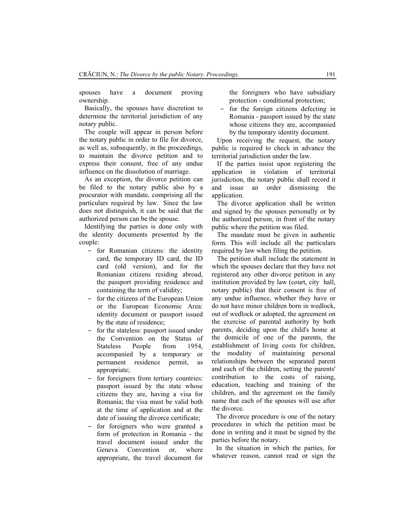spouses have a document proving ownership.

Basically, the spouses have discretion to determine the territorial jurisdiction of any notary public.

The couple will appear in person before the notary public in order to file for divorce, as well as, subsequently, in the proceedings, to maintain the divorce petition and to express their consent, free of any undue influence on the dissolution of marriage.

As an exception, the divorce petition can be filed to the notary public also by a procurator with mandate, comprising all the particulars required by law. Since the law does not distinguish, it can be said that the authorized person can be the spouse.

Identifying the parties is done only with the identity documents presented by the couple:

- for Romanian citizens: the identity card, the temporary ID card, the ID card (old version), and for the Romanian citizens residing abroad, the passport providing residence and containing the term of validity;
- for the citizens of the European Union or the European Economic Area: identity document or passport issued by the state of residence;
- for the stateless: passport issued under the Convention on the Status of Stateless People from 1954, accompanied by a temporary or permanent residence permit, as appropriate;
- for foreigners from tertiary countries: passport issued by the state whose citizens they are, having a visa for Romania; the visa must be valid both at the time of application and at the date of issuing the divorce certificate;
- for foreigners who were granted a form of protection in Romania - the travel document issued under the Geneva Convention or, where appropriate, the travel document for

the foreigners who have subsidiary protection - conditional protection;

– for the foreign citizens defecting in Romania - passport issued by the state whose citizens they are, accompanied by the temporary identity document.

Upon receiving the request, the notary public is required to check in advance the territorial jurisdiction under the law.

If the parties insist upon registering the application in violation of territorial jurisdiction, the notary public shall record it and issue an order dismissing the application.

The divorce application shall be written and signed by the spouses personally or by the authorized person, in front of the notary public where the petition was filed.

The mandate must be given in authentic form. This will include all the particulars required by law when filing the petition.

The petition shall include the statement in which the spouses declare that they have not registered any other divorce petition in any institution provided by law (court, city hall, notary public) that their consent is free of any undue influence, whether they have or do not have minor children born in wedlock, out of wedlock or adopted, the agreement on the exercise of parental authority by both parents, deciding upon the child's home at the domicile of one of the parents, the establishment of living costs for children, the modality of maintaining personal relationships between the separated parent and each of the children, setting the parents' contribution to the costs of raising, education, teaching and training of the children, and the agreement on the family name that each of the spouses will use after the divorce.

The divorce procedure is one of the notary procedures in which the petition must be done in writing and it must be signed by the parties before the notary.

In the situation in which the parties, for whatever reason, cannot read or sign the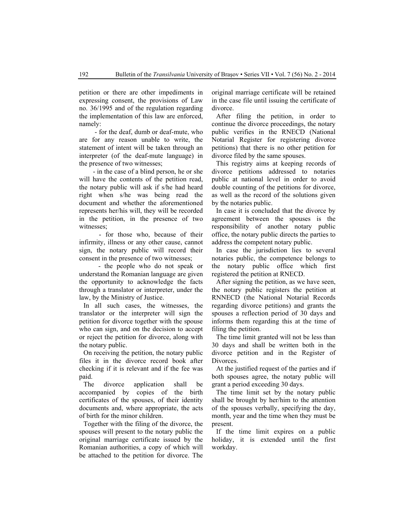petition or there are other impediments in expressing consent, the provisions of Law no. 36/1995 and of the regulation regarding the implementation of this law are enforced, namely:

 - for the deaf, dumb or deaf-mute, who are for any reason unable to write, the statement of intent will be taken through an interpreter (of the deaf-mute language) in the presence of two witnesses;

 - in the case of a blind person, he or she will have the contents of the petition read, the notary public will ask if s/he had heard right when s/he was being read the document and whether the aforementioned represents her/his will, they will be recorded in the petition, in the presence of two witnesses;

 - for those who, because of their infirmity, illness or any other cause, cannot sign, the notary public will record their consent in the presence of two witnesses;

 - the people who do not speak or understand the Romanian language are given the opportunity to acknowledge the facts through a translator or interpreter, under the law, by the Ministry of Justice.

In all such cases, the witnesses, the translator or the interpreter will sign the petition for divorce together with the spouse who can sign, and on the decision to accept or reject the petition for divorce, along with the notary public.

On receiving the petition, the notary public files it in the divorce record book after checking if it is relevant and if the fee was paid.

The divorce application shall be accompanied by copies of the birth certificates of the spouses, of their identity documents and, where appropriate, the acts of birth for the minor children.

Together with the filing of the divorce, the spouses will present to the notary public the original marriage certificate issued by the Romanian authorities, a copy of which will be attached to the petition for divorce. The

original marriage certificate will be retained in the case file until issuing the certificate of divorce.

After filing the petition, in order to continue the divorce proceedings, the notary public verifies in the RNECD (National Notarial Register for registering divorce petitions) that there is no other petition for divorce filed by the same spouses.

This registry aims at keeping records of divorce petitions addressed to notaries public at national level in order to avoid double counting of the petitions for divorce, as well as the record of the solutions given by the notaries public.

In case it is concluded that the divorce by agreement between the spouses is the responsibility of another notary public office, the notary public directs the parties to address the competent notary public.

In case the jurisdiction lies to several notaries public, the competence belongs to the notary public office which first registered the petition at RNECD.

After signing the petition, as we have seen, the notary public registers the petition at RNNECD (the National Notarial Records regarding divorce petitions) and grants the spouses a reflection period of 30 days and informs them regarding this at the time of filing the petition.

The time limit granted will not be less than 30 days and shall be written both in the divorce petition and in the Register of Divorces.

At the justified request of the parties and if both spouses agree, the notary public will grant a period exceeding 30 days.

The time limit set by the notary public shall be brought by her/him to the attention of the spouses verbally, specifying the day, month, year and the time when they must be present.

If the time limit expires on a public holiday, it is extended until the first workday.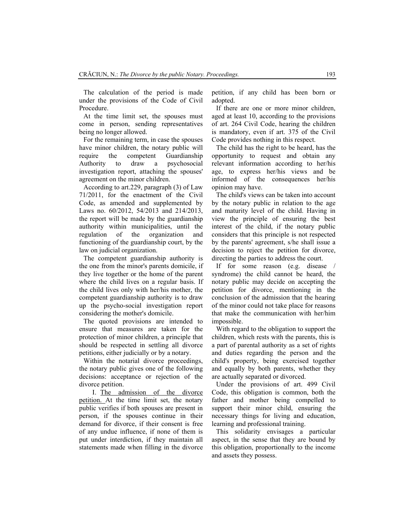The calculation of the period is made under the provisions of the Code of Civil Procedure.

At the time limit set, the spouses must come in person, sending representatives being no longer allowed.

For the remaining term, in case the spouses have minor children, the notary public will require the competent Guardianship Authority to draw a psychosocial investigation report, attaching the spouses' agreement on the minor children.

According to art.229, paragraph (3) of Law 71/2011, for the enactment of the Civil Code, as amended and supplemented by Laws no. 60/2012, 54/2013 and 214/2013, the report will be made by the guardianship authority within municipalities, until the regulation of the organization and functioning of the guardianship court, by the law on judicial organization.

The competent guardianship authority is the one from the minor's parents domicile, if they live together or the home of the parent where the child lives on a regular basis. If the child lives only with her/his mother, the competent guardianship authority is to draw up the psycho-social investigation report considering the mother's domicile.

The quoted provisions are intended to ensure that measures are taken for the protection of minor children, a principle that should be respected in settling all divorce petitions, either judicially or by a notary.

Within the notarial divorce proceedings, the notary public gives one of the following decisions: acceptance or rejection of the divorce petition.

I. The admission of the divorce petition. At the time limit set, the notary public verifies if both spouses are present in person, if the spouses continue in their demand for divorce, if their consent is free of any undue influence, if none of them is put under interdiction, if they maintain all statements made when filling in the divorce

petition, if any child has been born or adopted.

If there are one or more minor children, aged at least 10, according to the provisions of art. 264 Civil Code, hearing the children is mandatory, even if art. 375 of the Civil Code provides nothing in this respect.

The child has the right to be heard, has the opportunity to request and obtain any relevant information according to her/his age, to express her/his views and be informed of the consequences her/his opinion may have.

The child's views can be taken into account by the notary public in relation to the age and maturity level of the child. Having in view the principle of ensuring the best interest of the child, if the notary public considers that this principle is not respected by the parents' agreement, s/he shall issue a decision to reject the petition for divorce, directing the parties to address the court.

If for some reason (e.g. disease syndrome) the child cannot be heard, the notary public may decide on accepting the petition for divorce, mentioning in the conclusion of the admission that the hearing of the minor could not take place for reasons that make the communication with her/him impossible.

With regard to the obligation to support the children, which rests with the parents, this is a part of parental authority as a set of rights and duties regarding the person and the child's property, being exercised together and equally by both parents, whether they are actually separated or divorced.

Under the provisions of art. 499 Civil Code, this obligation is common, both the father and mother being compelled to support their minor child, ensuring the necessary things for living and education, learning and professional training.

This solidarity envisages a particular aspect, in the sense that they are bound by this obligation, proportionally to the income and assets they possess.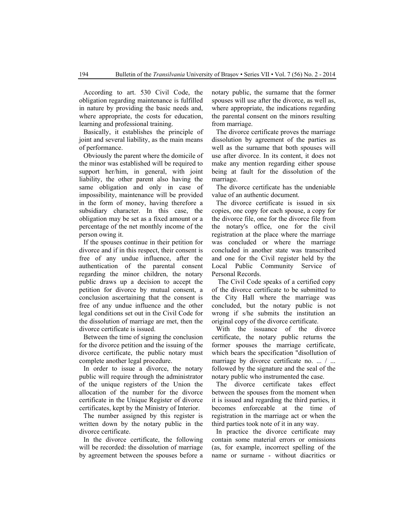According to art. 530 Civil Code, the obligation regarding maintenance is fulfilled in nature by providing the basic needs and, where appropriate, the costs for education, learning and professional training.

Basically, it establishes the principle of joint and several liability, as the main means of performance.

Obviously the parent where the domicile of the minor was established will be required to support her/him, in general, with joint liability, the other parent also having the same obligation and only in case of impossibility, maintenance will be provided in the form of money, having therefore a subsidiary character. In this case, the obligation may be set as a fixed amount or a percentage of the net monthly income of the person owing it.

If the spouses continue in their petition for divorce and if in this respect, their consent is free of any undue influence, after the authentication of the parental consent regarding the minor children, the notary public draws up a decision to accept the petition for divorce by mutual consent, a conclusion ascertaining that the consent is free of any undue influence and the other legal conditions set out in the Civil Code for the dissolution of marriage are met, then the divorce certificate is issued.

Between the time of signing the conclusion for the divorce petition and the issuing of the divorce certificate, the public notary must complete another legal procedure.

In order to issue a divorce, the notary public will require through the administrator of the unique registers of the Union the allocation of the number for the divorce certificate in the Unique Register of divorce certificates, kept by the Ministry of Interior.

The number assigned by this register is written down by the notary public in the divorce certificate.

In the divorce certificate, the following will be recorded: the dissolution of marriage by agreement between the spouses before a notary public, the surname that the former spouses will use after the divorce, as well as, where appropriate, the indications regarding the parental consent on the minors resulting from marriage.

The divorce certificate proves the marriage dissolution by agreement of the parties as well as the surname that both spouses will use after divorce. In its content, it does not make any mention regarding either spouse being at fault for the dissolution of the marriage.

The divorce certificate has the undeniable value of an authentic document.

The divorce certificate is issued in six copies, one copy for each spouse, a copy for the divorce file, one for the divorce file from the notary's office, one for the civil registration at the place where the marriage was concluded or where the marriage concluded in another state was transcribed and one for the Civil register held by the Local Public Community Service of Personal Records.

 The Civil Code speaks of a certified copy of the divorce certificate to be submitted to the City Hall where the marriage was concluded, but the notary public is not wrong if s/he submits the institution an original copy of the divorce certificate.

With the issuance of the divorce certificate, the notary public returns the former spouses the marriage certificate, which bears the specification "disollution of marriage by divorce certificate no. ... / ... followed by the signature and the seal of the notary public who instrumented the case.

The divorce certificate takes effect between the spouses from the moment when it is issued and regarding the third parties, it becomes enforceable at the time of registration in the marriage act or when the third parties took note of it in any way.

In practice the divorce certificate may contain some material errors or omissions (as, for example, incorrect spelling of the name or surname - without diacritics or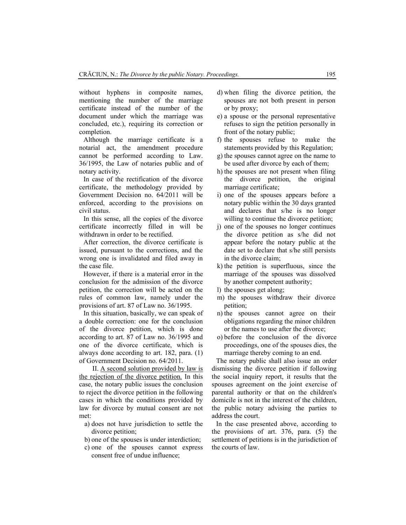without hyphens in composite names, mentioning the number of the marriage certificate instead of the number of the document under which the marriage was concluded, etc.), requiring its correction or completion.

Although the marriage certificate is a notarial act, the amendment procedure cannot be performed according to Law. 36/1995, the Law of notaries public and of notary activity.

In case of the rectification of the divorce certificate, the methodology provided by Government Decision no. 64/2011 will be enforced, according to the provisions on civil status.

In this sense, all the copies of the divorce certificate incorrectly filled in will be withdrawn in order to be rectified.

After correction, the divorce certificate is issued, pursuant to the corrections, and the wrong one is invalidated and filed away in the case file.

However, if there is a material error in the conclusion for the admission of the divorce petition, the correction will be acted on the rules of common law, namely under the provisions of art. 87 of Law no. 36/1995.

In this situation, basically, we can speak of a double correction: one for the conclusion of the divorce petition, which is done according to art. 87 of Law no. 36/1995 and one of the divorce certificate, which is always done according to art. 182, para. (1) of Government Decision no. 64/2011.

II. A second solution provided by law is the rejection of the divorce petition. In this case, the notary public issues the conclusion to reject the divorce petition in the following cases in which the conditions provided by law for divorce by mutual consent are not met:

- a) does not have jurisdiction to settle the divorce petition;
- b) one of the spouses is under interdiction;
- c) one of the spouses cannot express consent free of undue influence;
- d) when filing the divorce petition, the spouses are not both present in person or by proxy;
- e) a spouse or the personal representative refuses to sign the petition personally in front of the notary public;
- f) the spouses refuse to make the statements provided by this Regulation;
- g) the spouses cannot agree on the name to be used after divorce by each of them;
- h) the spouses are not present when filing the divorce petition, the original marriage certificate;
- i) one of the spouses appears before a notary public within the 30 days granted and declares that s/he is no longer willing to continue the divorce petition;
- j) one of the spouses no longer continues the divorce petition as s/he did not appear before the notary public at the date set to declare that s/he still persists in the divorce claim;
- k) the petition is superfluous, since the marriage of the spouses was dissolved by another competent authority;
- l) the spouses get along;
- m) the spouses withdraw their divorce petition;
- n) the spouses cannot agree on their obligations regarding the minor children or the names to use after the divorce;
- o) before the conclusion of the divorce proceedings, one of the spouses dies, the marriage thereby coming to an end.

The notary public shall also issue an order dismissing the divorce petition if following the social inquiry report, it results that the spouses agreement on the joint exercise of parental authority or that on the children's domicile is not in the interest of the children, the public notary advising the parties to address the court.

In the case presented above, according to the provisions of art. 376, para. (5) the settlement of petitions is in the jurisdiction of the courts of law.